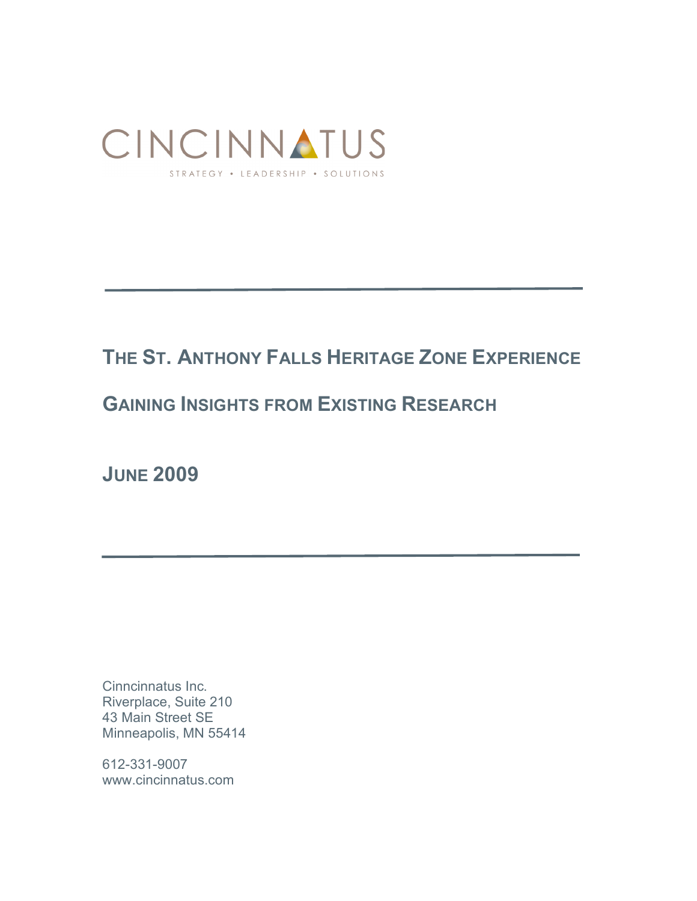

# **THE ST. ANTHONY FALLS HERITAGE ZONE EXPERIENCE**

# **GAINING INSIGHTS FROM EXISTING RESEARCH**

**JUNE 2009**

Cinncinnatus Inc. Riverplace, Suite 210 43 Main Street SE Minneapolis, MN 55414

612-331-9007 www.cincinnatus.com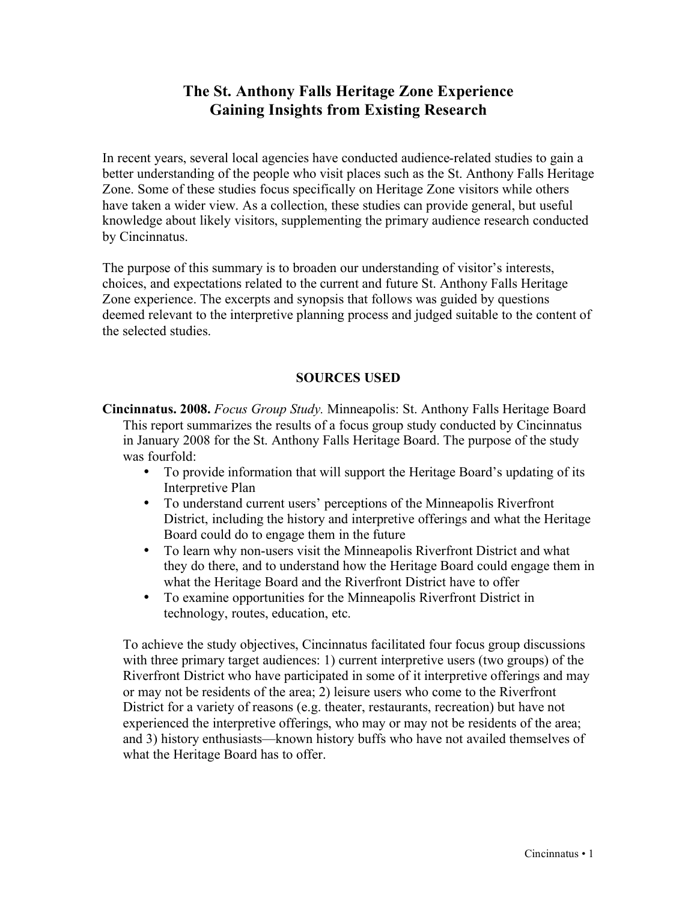# **The St. Anthony Falls Heritage Zone Experience Gaining Insights from Existing Research**

In recent years, several local agencies have conducted audience-related studies to gain a better understanding of the people who visit places such as the St. Anthony Falls Heritage Zone. Some of these studies focus specifically on Heritage Zone visitors while others have taken a wider view. As a collection, these studies can provide general, but useful knowledge about likely visitors, supplementing the primary audience research conducted by Cincinnatus.

The purpose of this summary is to broaden our understanding of visitor's interests, choices, and expectations related to the current and future St. Anthony Falls Heritage Zone experience. The excerpts and synopsis that follows was guided by questions deemed relevant to the interpretive planning process and judged suitable to the content of the selected studies.

#### **SOURCES USED**

**Cincinnatus. 2008.** *Focus Group Study.* Minneapolis: St. Anthony Falls Heritage Board This report summarizes the results of a focus group study conducted by Cincinnatus in January 2008 for the St. Anthony Falls Heritage Board. The purpose of the study was fourfold:

- To provide information that will support the Heritage Board's updating of its Interpretive Plan
- To understand current users' perceptions of the Minneapolis Riverfront District, including the history and interpretive offerings and what the Heritage Board could do to engage them in the future
- To learn why non-users visit the Minneapolis Riverfront District and what they do there, and to understand how the Heritage Board could engage them in what the Heritage Board and the Riverfront District have to offer
- To examine opportunities for the Minneapolis Riverfront District in technology, routes, education, etc.

To achieve the study objectives, Cincinnatus facilitated four focus group discussions with three primary target audiences: 1) current interpretive users (two groups) of the Riverfront District who have participated in some of it interpretive offerings and may or may not be residents of the area; 2) leisure users who come to the Riverfront District for a variety of reasons (e.g. theater, restaurants, recreation) but have not experienced the interpretive offerings, who may or may not be residents of the area; and 3) history enthusiasts—known history buffs who have not availed themselves of what the Heritage Board has to offer.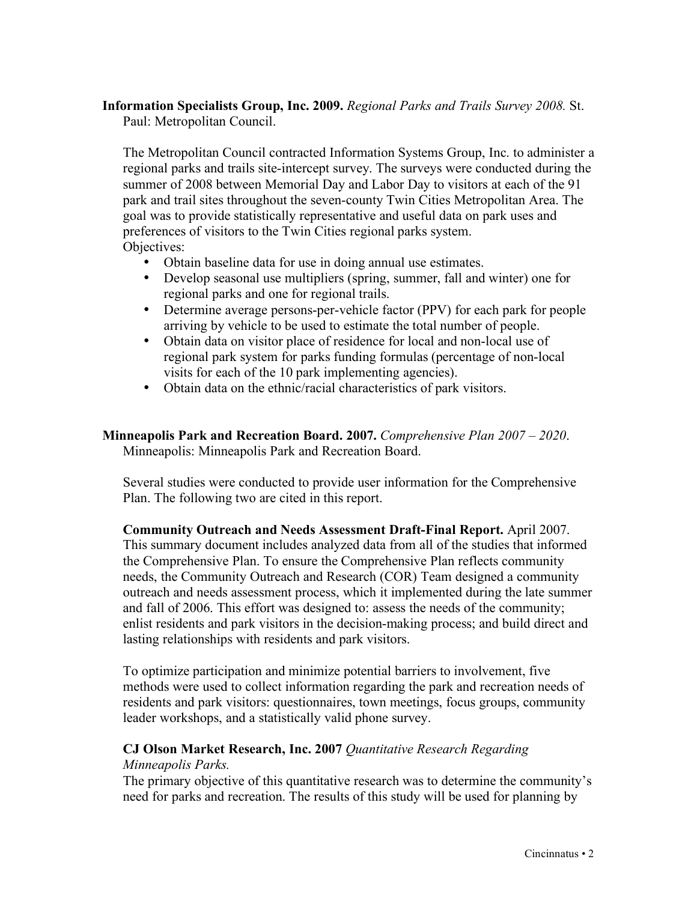# **Information Specialists Group, Inc. 2009.** *Regional Parks and Trails Survey 2008.* St.

Paul: Metropolitan Council.

The Metropolitan Council contracted Information Systems Group, Inc. to administer a regional parks and trails site-intercept survey. The surveys were conducted during the summer of 2008 between Memorial Day and Labor Day to visitors at each of the 91 park and trail sites throughout the seven-county Twin Cities Metropolitan Area. The goal was to provide statistically representative and useful data on park uses and preferences of visitors to the Twin Cities regional parks system. Objectives:

- Obtain baseline data for use in doing annual use estimates.
- Develop seasonal use multipliers (spring, summer, fall and winter) one for regional parks and one for regional trails.
- Determine average persons-per-vehicle factor (PPV) for each park for people arriving by vehicle to be used to estimate the total number of people.
- Obtain data on visitor place of residence for local and non-local use of regional park system for parks funding formulas (percentage of non-local visits for each of the 10 park implementing agencies).
- Obtain data on the ethnic/racial characteristics of park visitors.

#### **Minneapolis Park and Recreation Board. 2007.** *Comprehensive Plan 2007 – 2020*. Minneapolis: Minneapolis Park and Recreation Board.

Several studies were conducted to provide user information for the Comprehensive Plan. The following two are cited in this report.

**Community Outreach and Needs Assessment Draft-Final Report.** April 2007. This summary document includes analyzed data from all of the studies that informed the Comprehensive Plan. To ensure the Comprehensive Plan reflects community needs, the Community Outreach and Research (COR) Team designed a community outreach and needs assessment process, which it implemented during the late summer and fall of 2006. This effort was designed to: assess the needs of the community; enlist residents and park visitors in the decision-making process; and build direct and lasting relationships with residents and park visitors.

To optimize participation and minimize potential barriers to involvement, five methods were used to collect information regarding the park and recreation needs of residents and park visitors: questionnaires, town meetings, focus groups, community leader workshops, and a statistically valid phone survey.

#### **CJ Olson Market Research, Inc. 2007** *Quantitative Research Regarding Minneapolis Parks.*

The primary objective of this quantitative research was to determine the community's need for parks and recreation. The results of this study will be used for planning by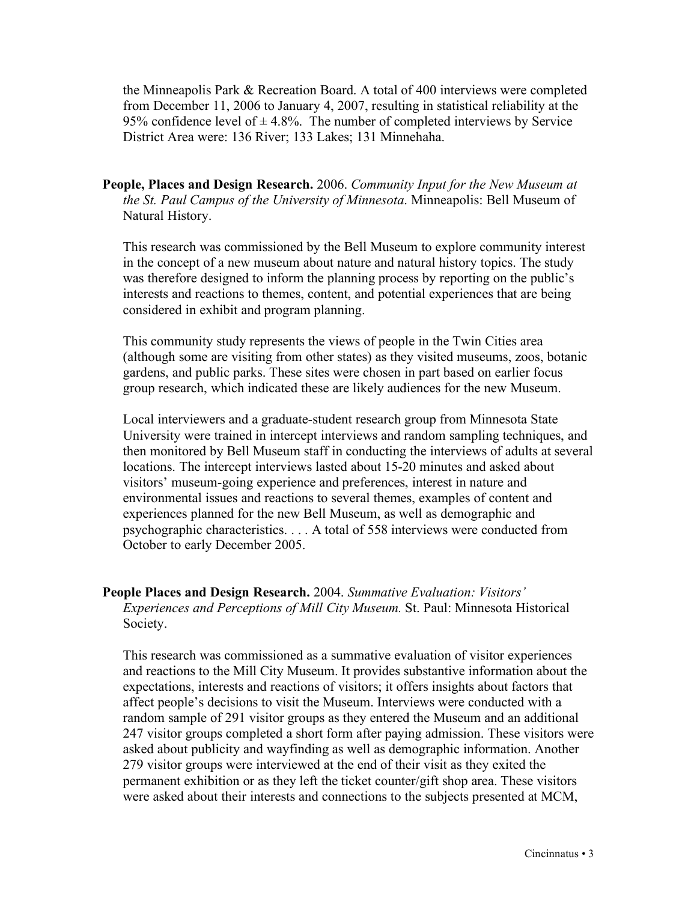the Minneapolis Park & Recreation Board. A total of 400 interviews were completed from December 11, 2006 to January 4, 2007, resulting in statistical reliability at the 95% confidence level of  $\pm$  4.8%. The number of completed interviews by Service District Area were: 136 River; 133 Lakes; 131 Minnehaha.

**People, Places and Design Research.** 2006. *Community Input for the New Museum at the St. Paul Campus of the University of Minnesota*. Minneapolis: Bell Museum of Natural History.

This research was commissioned by the Bell Museum to explore community interest in the concept of a new museum about nature and natural history topics. The study was therefore designed to inform the planning process by reporting on the public's interests and reactions to themes, content, and potential experiences that are being considered in exhibit and program planning.

This community study represents the views of people in the Twin Cities area (although some are visiting from other states) as they visited museums, zoos, botanic gardens, and public parks. These sites were chosen in part based on earlier focus group research, which indicated these are likely audiences for the new Museum.

Local interviewers and a graduate-student research group from Minnesota State University were trained in intercept interviews and random sampling techniques, and then monitored by Bell Museum staff in conducting the interviews of adults at several locations. The intercept interviews lasted about 15-20 minutes and asked about visitors' museum-going experience and preferences, interest in nature and environmental issues and reactions to several themes, examples of content and experiences planned for the new Bell Museum, as well as demographic and psychographic characteristics. . . . A total of 558 interviews were conducted from October to early December 2005.

#### **People Places and Design Research.** 2004. *Summative Evaluation: Visitors' Experiences and Perceptions of Mill City Museum.* St. Paul: Minnesota Historical Society.

This research was commissioned as a summative evaluation of visitor experiences and reactions to the Mill City Museum. It provides substantive information about the expectations, interests and reactions of visitors; it offers insights about factors that affect people's decisions to visit the Museum. Interviews were conducted with a random sample of 291 visitor groups as they entered the Museum and an additional 247 visitor groups completed a short form after paying admission. These visitors were asked about publicity and wayfinding as well as demographic information. Another 279 visitor groups were interviewed at the end of their visit as they exited the permanent exhibition or as they left the ticket counter/gift shop area. These visitors were asked about their interests and connections to the subjects presented at MCM,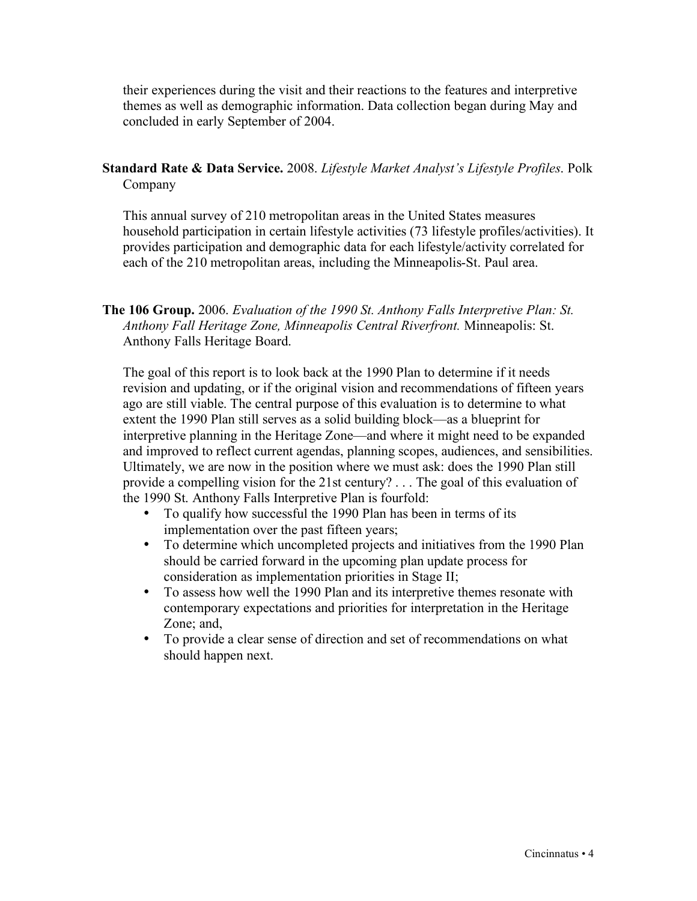their experiences during the visit and their reactions to the features and interpretive themes as well as demographic information. Data collection began during May and concluded in early September of 2004.

**Standard Rate & Data Service.** 2008. *Lifestyle Market Analyst's Lifestyle Profiles*. Polk Company

This annual survey of 210 metropolitan areas in the United States measures household participation in certain lifestyle activities (73 lifestyle profiles/activities). It provides participation and demographic data for each lifestyle/activity correlated for each of the 210 metropolitan areas, including the Minneapolis-St. Paul area.

**The 106 Group.** 2006. *Evaluation of the 1990 St. Anthony Falls Interpretive Plan: St. Anthony Fall Heritage Zone, Minneapolis Central Riverfront.* Minneapolis: St. Anthony Falls Heritage Board.

The goal of this report is to look back at the 1990 Plan to determine if it needs revision and updating, or if the original vision and recommendations of fifteen years ago are still viable. The central purpose of this evaluation is to determine to what extent the 1990 Plan still serves as a solid building block—as a blueprint for interpretive planning in the Heritage Zone—and where it might need to be expanded and improved to reflect current agendas, planning scopes, audiences, and sensibilities. Ultimately, we are now in the position where we must ask: does the 1990 Plan still provide a compelling vision for the 21st century? . . . The goal of this evaluation of the 1990 St. Anthony Falls Interpretive Plan is fourfold:

- To qualify how successful the 1990 Plan has been in terms of its implementation over the past fifteen years;
- To determine which uncompleted projects and initiatives from the 1990 Plan should be carried forward in the upcoming plan update process for consideration as implementation priorities in Stage II;
- To assess how well the 1990 Plan and its interpretive themes resonate with contemporary expectations and priorities for interpretation in the Heritage Zone; and,
- To provide a clear sense of direction and set of recommendations on what should happen next.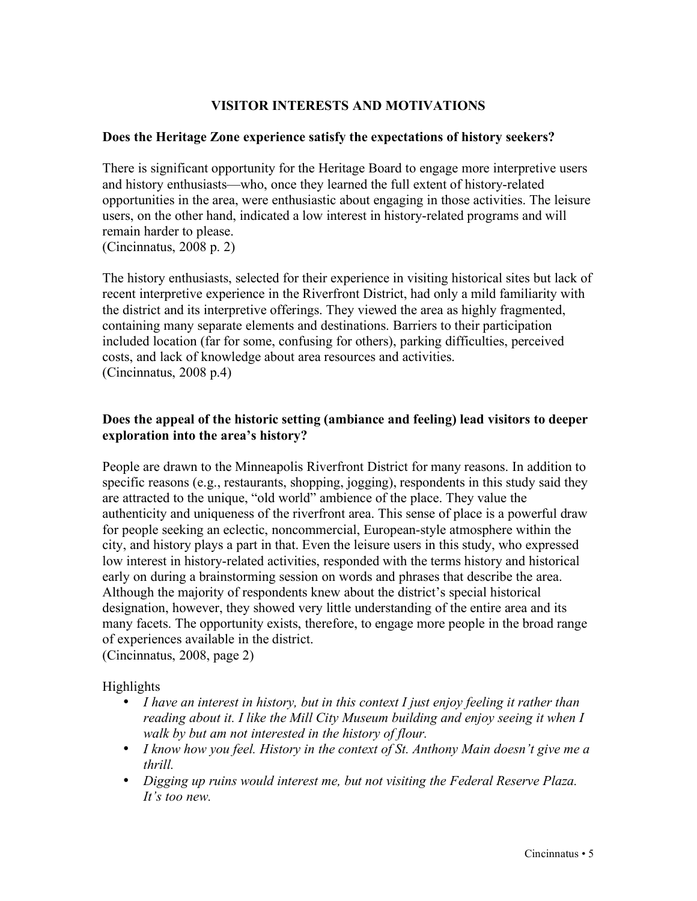# **VISITOR INTERESTS AND MOTIVATIONS**

#### **Does the Heritage Zone experience satisfy the expectations of history seekers?**

There is significant opportunity for the Heritage Board to engage more interpretive users and history enthusiasts—who, once they learned the full extent of history-related opportunities in the area, were enthusiastic about engaging in those activities. The leisure users, on the other hand, indicated a low interest in history-related programs and will remain harder to please. (Cincinnatus, 2008 p. 2)

The history enthusiasts, selected for their experience in visiting historical sites but lack of recent interpretive experience in the Riverfront District, had only a mild familiarity with the district and its interpretive offerings. They viewed the area as highly fragmented, containing many separate elements and destinations. Barriers to their participation included location (far for some, confusing for others), parking difficulties, perceived costs, and lack of knowledge about area resources and activities. (Cincinnatus, 2008 p.4)

### **Does the appeal of the historic setting (ambiance and feeling) lead visitors to deeper exploration into the area's history?**

People are drawn to the Minneapolis Riverfront District for many reasons. In addition to specific reasons (e.g., restaurants, shopping, jogging), respondents in this study said they are attracted to the unique, "old world" ambience of the place. They value the authenticity and uniqueness of the riverfront area. This sense of place is a powerful draw for people seeking an eclectic, noncommercial, European-style atmosphere within the city, and history plays a part in that. Even the leisure users in this study, who expressed low interest in history-related activities, responded with the terms history and historical early on during a brainstorming session on words and phrases that describe the area. Although the majority of respondents knew about the district's special historical designation, however, they showed very little understanding of the entire area and its many facets. The opportunity exists, therefore, to engage more people in the broad range of experiences available in the district.

(Cincinnatus, 2008, page 2)

Highlights

- *I have an interest in history, but in this context I just enjoy feeling it rather than reading about it. I like the Mill City Museum building and enjoy seeing it when I walk by but am not interested in the history of flour.*
- *I know how you feel. History in the context of St. Anthony Main doesn't give me a thrill.*
- *Digging up ruins would interest me, but not visiting the Federal Reserve Plaza. It's too new.*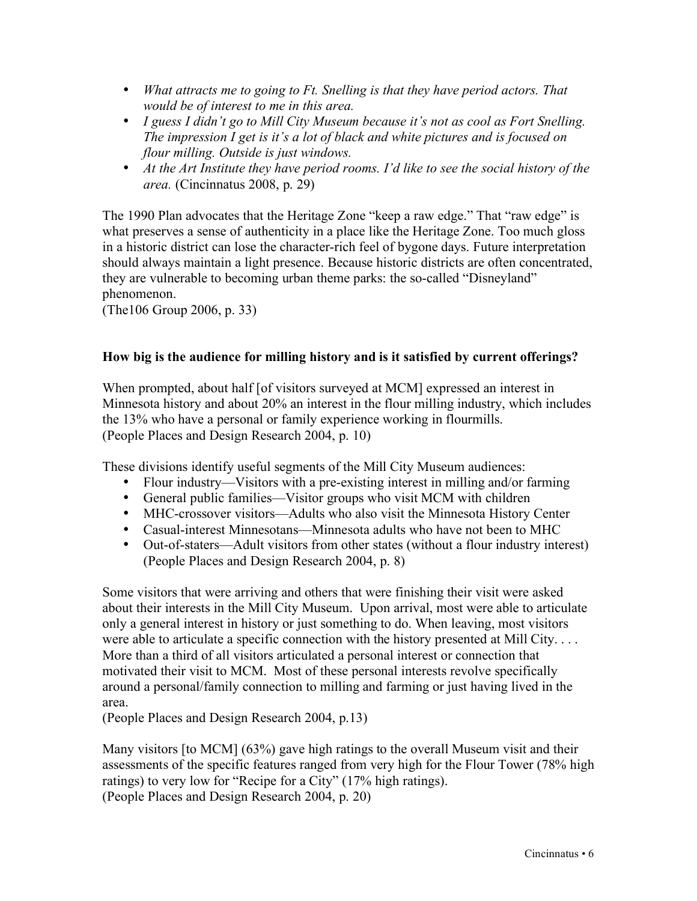- *What attracts me to going to Ft. Snelling is that they have period actors. That would be of interest to me in this area.*
- *I guess I didn't go to Mill City Museum because it's not as cool as Fort Snelling. The impression I get is it's a lot of black and white pictures and is focused on flour milling. Outside is just windows.*
- *At the Art Institute they have period rooms. I'd like to see the social history of the area.* (Cincinnatus 2008, p. 29)

The 1990 Plan advocates that the Heritage Zone "keep a raw edge." That "raw edge" is what preserves a sense of authenticity in a place like the Heritage Zone. Too much gloss in a historic district can lose the character-rich feel of bygone days. Future interpretation should always maintain a light presence. Because historic districts are often concentrated, they are vulnerable to becoming urban theme parks: the so-called "Disneyland" phenomenon.

(The106 Group 2006, p. 33)

# **How big is the audience for milling history and is it satisfied by current offerings?**

When prompted, about half [of visitors surveyed at MCM] expressed an interest in Minnesota history and about 20% an interest in the flour milling industry, which includes the 13% who have a personal or family experience working in flourmills. (People Places and Design Research 2004, p. 10)

These divisions identify useful segments of the Mill City Museum audiences:

- Flour industry—Visitors with a pre-existing interest in milling and/or farming
- General public families—Visitor groups who visit MCM with children
- MHC-crossover visitors—Adults who also visit the Minnesota History Center
- Casual-interest Minnesotans—Minnesota adults who have not been to MHC
- Out-of-staters—Adult visitors from other states (without a flour industry interest) (People Places and Design Research 2004, p. 8)

Some visitors that were arriving and others that were finishing their visit were asked about their interests in the Mill City Museum. Upon arrival, most were able to articulate only a general interest in history or just something to do. When leaving, most visitors were able to articulate a specific connection with the history presented at Mill City.... More than a third of all visitors articulated a personal interest or connection that motivated their visit to MCM. Most of these personal interests revolve specifically around a personal/family connection to milling and farming or just having lived in the area.

(People Places and Design Research 2004, p.13)

Many visitors [to MCM] (63%) gave high ratings to the overall Museum visit and their assessments of the specific features ranged from very high for the Flour Tower (78% high ratings) to very low for "Recipe for a City" (17% high ratings). (People Places and Design Research 2004, p. 20)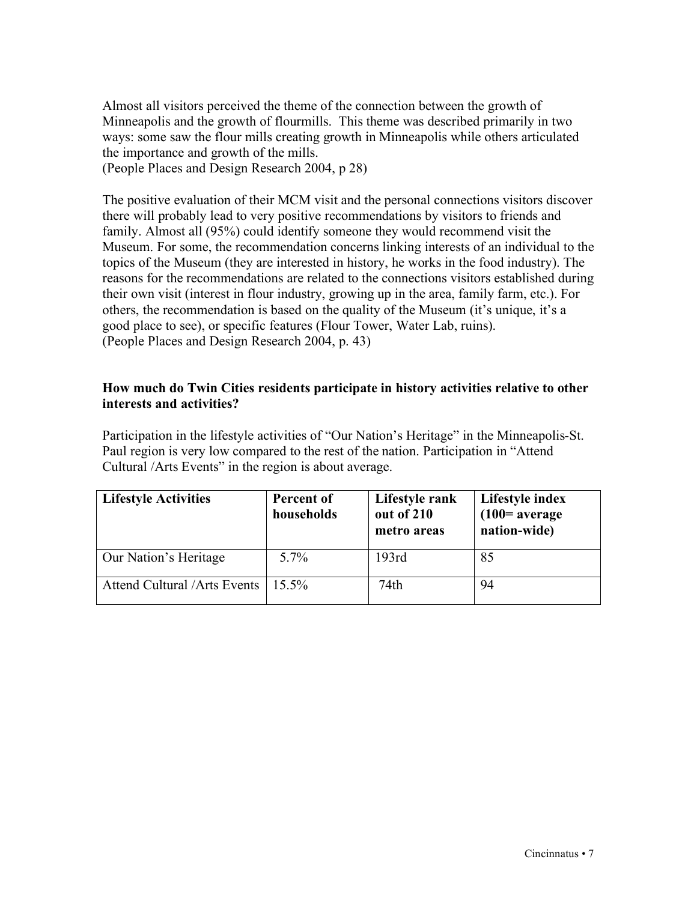Almost all visitors perceived the theme of the connection between the growth of Minneapolis and the growth of flourmills. This theme was described primarily in two ways: some saw the flour mills creating growth in Minneapolis while others articulated the importance and growth of the mills.

(People Places and Design Research 2004, p 28)

The positive evaluation of their MCM visit and the personal connections visitors discover there will probably lead to very positive recommendations by visitors to friends and family. Almost all (95%) could identify someone they would recommend visit the Museum. For some, the recommendation concerns linking interests of an individual to the topics of the Museum (they are interested in history, he works in the food industry). The reasons for the recommendations are related to the connections visitors established during their own visit (interest in flour industry, growing up in the area, family farm, etc.). For others, the recommendation is based on the quality of the Museum (it's unique, it's a good place to see), or specific features (Flour Tower, Water Lab, ruins). (People Places and Design Research 2004, p. 43)

### **How much do Twin Cities residents participate in history activities relative to other interests and activities?**

Participation in the lifestyle activities of "Our Nation's Heritage" in the Minneapolis-St. Paul region is very low compared to the rest of the nation. Participation in "Attend Cultural /Arts Events" in the region is about average.

| <b>Lifestyle Activities</b>         | Percent of<br>households | Lifestyle rank<br>out of 210<br>metro areas | Lifestyle index<br>$(100=$ average<br>nation-wide) |
|-------------------------------------|--------------------------|---------------------------------------------|----------------------------------------------------|
| Our Nation's Heritage               | $5.7\%$                  | 193rd                                       | 85                                                 |
| <b>Attend Cultural /Arts Events</b> | $15.5\%$                 | 74th                                        | 94                                                 |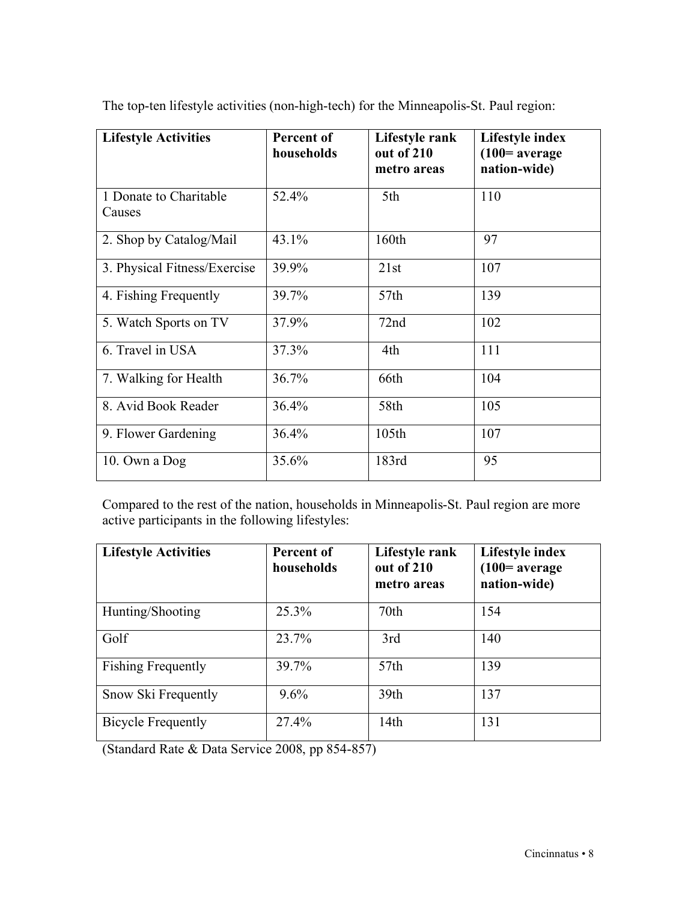| <b>Lifestyle Activities</b>      | Percent of<br>households | Lifestyle rank<br>out of 210<br>metro areas | Lifestyle index<br>$(100=average$<br>nation-wide) |
|----------------------------------|--------------------------|---------------------------------------------|---------------------------------------------------|
| 1 Donate to Charitable<br>Causes | 52.4%                    | 5th                                         | 110                                               |
| 2. Shop by Catalog/Mail          | 43.1%                    | 160th                                       | 97                                                |
| 3. Physical Fitness/Exercise     | 39.9%                    | 21st                                        | 107                                               |
| 4. Fishing Frequently            | 39.7%                    | 57th                                        | 139                                               |
| 5. Watch Sports on TV            | 37.9%                    | 72nd                                        | 102                                               |
| 6. Travel in USA                 | 37.3%                    | 4th                                         | 111                                               |
| 7. Walking for Health            | 36.7%                    | 66th                                        | 104                                               |
| 8. Avid Book Reader              | 36.4%                    | 58th                                        | 105                                               |
| 9. Flower Gardening              | 36.4%                    | 105th                                       | 107                                               |
| 10. Own a Dog                    | 35.6%                    | 183rd                                       | 95                                                |

The top-ten lifestyle activities (non-high-tech) for the Minneapolis-St. Paul region:

Compared to the rest of the nation, households in Minneapolis-St. Paul region are more active participants in the following lifestyles:

| <b>Lifestyle Activities</b> | Percent of<br>households | Lifestyle rank<br>out of 210<br>metro areas | Lifestyle index<br>$(100=average$<br>nation-wide) |
|-----------------------------|--------------------------|---------------------------------------------|---------------------------------------------------|
| Hunting/Shooting            | 25.3%                    | 70th                                        | 154                                               |
| Golf                        | 23.7%                    | 3rd                                         | 140                                               |
| <b>Fishing Frequently</b>   | 39.7%                    | 57th                                        | 139                                               |
| Snow Ski Frequently         | $9.6\%$                  | 39 <sub>th</sub>                            | 137                                               |
| <b>Bicycle Frequently</b>   | 27.4%                    | 14 <sub>th</sub>                            | 131                                               |

(Standard Rate & Data Service 2008, pp 854-857)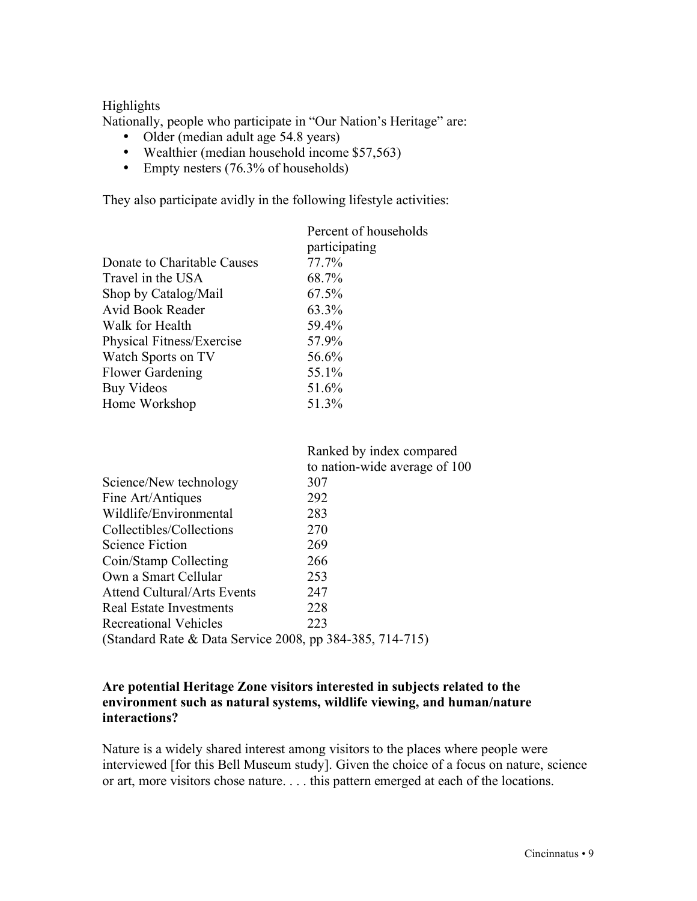#### Highlights

Nationally, people who participate in "Our Nation's Heritage" are:

- Older (median adult age 54.8 years)
- Wealthier (median household income \$57,563)
- Empty nesters (76.3% of households)

They also participate avidly in the following lifestyle activities:

|                             | Percent of households |
|-----------------------------|-----------------------|
|                             | participating         |
| Donate to Charitable Causes | 77.7%                 |
| Travel in the USA           | 68.7%                 |
| Shop by Catalog/Mail        | 67.5%                 |
| Avid Book Reader            | 63.3%                 |
| Walk for Health             | 59.4%                 |
| Physical Fitness/Exercise   | 57.9%                 |
| Watch Sports on TV          | 56.6%                 |
| <b>Flower Gardening</b>     | 55.1%                 |
| <b>Buy Videos</b>           | 51.6%                 |
| Home Workshop               | 51.3%                 |
|                             |                       |

|                                                          | Ranked by index compared      |
|----------------------------------------------------------|-------------------------------|
|                                                          | to nation-wide average of 100 |
| Science/New technology                                   | 307                           |
| Fine Art/Antiques                                        | 292                           |
| Wildlife/Environmental                                   | 283                           |
| Collectibles/Collections                                 | 270                           |
| Science Fiction                                          | 269                           |
| Coin/Stamp Collecting                                    | 266                           |
| Own a Smart Cellular                                     | 253                           |
| <b>Attend Cultural/Arts Events</b>                       | 247                           |
| Real Estate Investments                                  | 228                           |
| <b>Recreational Vehicles</b>                             | 223                           |
| (Standard Rate & Data Service 2008, pp 384-385, 714-715) |                               |

#### **Are potential Heritage Zone visitors interested in subjects related to the environment such as natural systems, wildlife viewing, and human/nature interactions?**

Nature is a widely shared interest among visitors to the places where people were interviewed [for this Bell Museum study]. Given the choice of a focus on nature, science or art, more visitors chose nature. . . . this pattern emerged at each of the locations.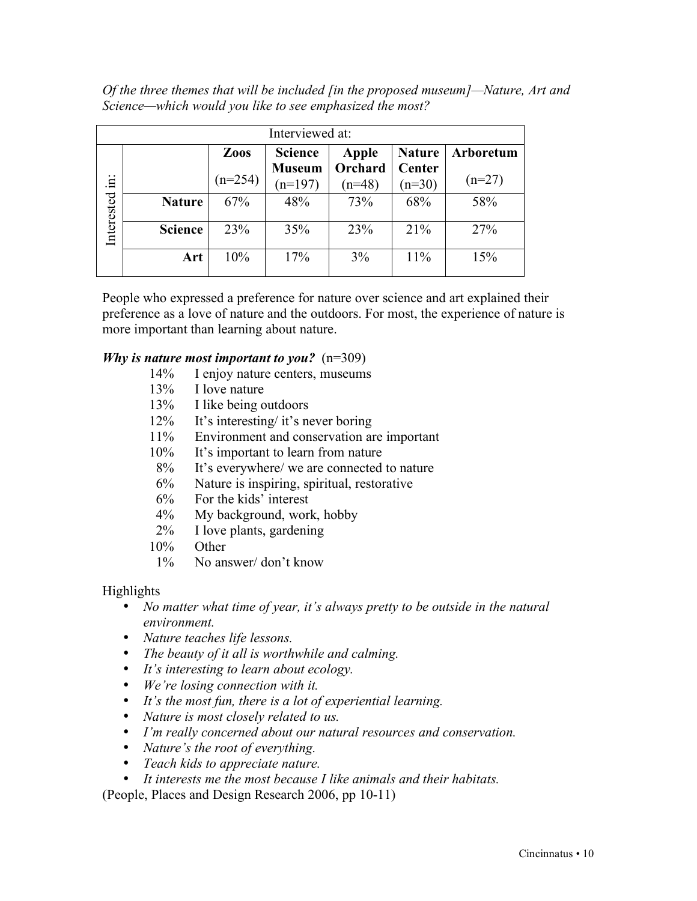*Of the three themes that will be included [in the proposed museum]—Nature, Art and Science—which would you like to see emphasized the most?* 

| Interviewed at: |                |           |                            |                     |                    |           |
|-----------------|----------------|-----------|----------------------------|---------------------|--------------------|-----------|
|                 |                | Zoos      | <b>Science</b>             | Apple               | <b>Nature</b>      | Arboretum |
| Ë.              |                | $(n=254)$ | <b>Museum</b><br>$(n=197)$ | Orchard<br>$(n=48)$ | Center<br>$(n=30)$ | $(n=27)$  |
| Interested      | <b>Nature</b>  | 67%       | 48%                        | 73%                 | 68%                | 58%       |
|                 | <b>Science</b> | 23%       | 35%                        | 23%                 | 21%                | 27%       |
|                 | Art            | 10%       | 17%                        | 3%                  | 11%                | 15%       |

People who expressed a preference for nature over science and art explained their preference as a love of nature and the outdoors. For most, the experience of nature is more important than learning about nature.

#### *Why is nature most important to you?* (n=309)

- 14% I enjoy nature centers, museums
- 13% I love nature
- 13% I like being outdoors
- 12% It's interesting/ it's never boring
- 11% Environment and conservation are important
- 10% It's important to learn from nature
- 8% It's everywhere/ we are connected to nature
- 6% Nature is inspiring, spiritual, restorative
- 6% For the kids' interest
- 4% My background, work, hobby
- 2% I love plants, gardening
- 10% Other
- 1% No answer/ don't know

## Highlights

- *No matter what time of year, it's always pretty to be outside in the natural environment.*
- *Nature teaches life lessons.*
- *The beauty of it all is worthwhile and calming.*
- *It's interesting to learn about ecology.*
- *We're losing connection with it.*
- *It's the most fun, there is a lot of experiential learning.*
- *Nature is most closely related to us.*
- *I'm really concerned about our natural resources and conservation.*
- *Nature's the root of everything.*
- *Teach kids to appreciate nature.*
- *It interests me the most because I like animals and their habitats.*

(People, Places and Design Research 2006, pp 10-11)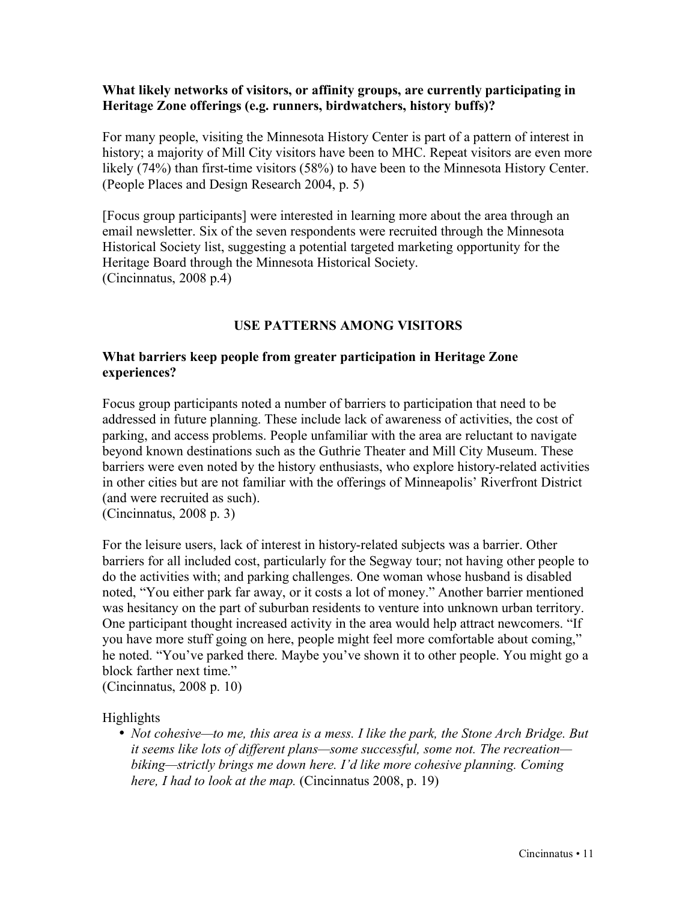#### **What likely networks of visitors, or affinity groups, are currently participating in Heritage Zone offerings (e.g. runners, birdwatchers, history buffs)?**

For many people, visiting the Minnesota History Center is part of a pattern of interest in history; a majority of Mill City visitors have been to MHC. Repeat visitors are even more likely (74%) than first-time visitors (58%) to have been to the Minnesota History Center. (People Places and Design Research 2004, p. 5)

[Focus group participants] were interested in learning more about the area through an email newsletter. Six of the seven respondents were recruited through the Minnesota Historical Society list, suggesting a potential targeted marketing opportunity for the Heritage Board through the Minnesota Historical Society. (Cincinnatus, 2008 p.4)

## **USE PATTERNS AMONG VISITORS**

#### **What barriers keep people from greater participation in Heritage Zone experiences?**

Focus group participants noted a number of barriers to participation that need to be addressed in future planning. These include lack of awareness of activities, the cost of parking, and access problems. People unfamiliar with the area are reluctant to navigate beyond known destinations such as the Guthrie Theater and Mill City Museum. These barriers were even noted by the history enthusiasts, who explore history-related activities in other cities but are not familiar with the offerings of Minneapolis' Riverfront District (and were recruited as such).

(Cincinnatus, 2008 p. 3)

For the leisure users, lack of interest in history-related subjects was a barrier. Other barriers for all included cost, particularly for the Segway tour; not having other people to do the activities with; and parking challenges. One woman whose husband is disabled noted, "You either park far away, or it costs a lot of money." Another barrier mentioned was hesitancy on the part of suburban residents to venture into unknown urban territory. One participant thought increased activity in the area would help attract newcomers. "If you have more stuff going on here, people might feel more comfortable about coming," he noted. "You've parked there. Maybe you've shown it to other people. You might go a block farther next time."

(Cincinnatus, 2008 p. 10)

Highlights

• *Not cohesive—to me, this area is a mess. I like the park, the Stone Arch Bridge. But it seems like lots of different plans—some successful, some not. The recreation biking—strictly brings me down here. I'd like more cohesive planning. Coming here, I had to look at the map.* (Cincinnatus 2008, p. 19)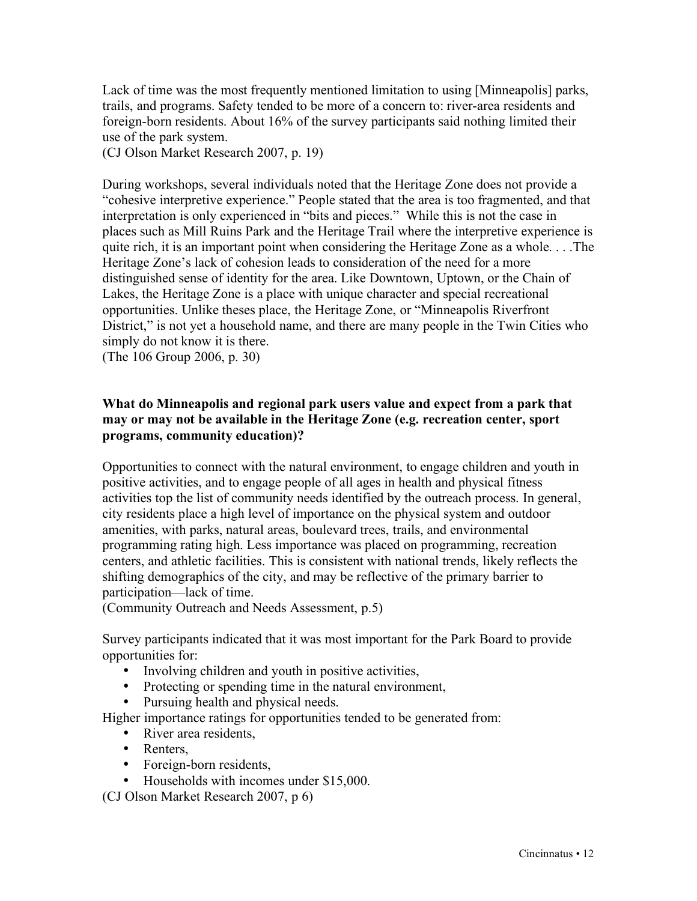Lack of time was the most frequently mentioned limitation to using [Minneapolis] parks, trails, and programs. Safety tended to be more of a concern to: river-area residents and foreign-born residents. About 16% of the survey participants said nothing limited their use of the park system.

(CJ Olson Market Research 2007, p. 19)

During workshops, several individuals noted that the Heritage Zone does not provide a "cohesive interpretive experience." People stated that the area is too fragmented, and that interpretation is only experienced in "bits and pieces." While this is not the case in places such as Mill Ruins Park and the Heritage Trail where the interpretive experience is quite rich, it is an important point when considering the Heritage Zone as a whole. . . .The Heritage Zone's lack of cohesion leads to consideration of the need for a more distinguished sense of identity for the area. Like Downtown, Uptown, or the Chain of Lakes, the Heritage Zone is a place with unique character and special recreational opportunities. Unlike theses place, the Heritage Zone, or "Minneapolis Riverfront District," is not yet a household name, and there are many people in the Twin Cities who simply do not know it is there.

(The 106 Group 2006, p. 30)

## **What do Minneapolis and regional park users value and expect from a park that may or may not be available in the Heritage Zone (e.g. recreation center, sport programs, community education)?**

Opportunities to connect with the natural environment, to engage children and youth in positive activities, and to engage people of all ages in health and physical fitness activities top the list of community needs identified by the outreach process. In general, city residents place a high level of importance on the physical system and outdoor amenities, with parks, natural areas, boulevard trees, trails, and environmental programming rating high. Less importance was placed on programming, recreation centers, and athletic facilities. This is consistent with national trends, likely reflects the shifting demographics of the city, and may be reflective of the primary barrier to participation—lack of time.

(Community Outreach and Needs Assessment, p.5)

Survey participants indicated that it was most important for the Park Board to provide opportunities for:

- Involving children and youth in positive activities,
- Protecting or spending time in the natural environment,
- Pursuing health and physical needs.

Higher importance ratings for opportunities tended to be generated from:

- River area residents.
- Renters,
- Foreign-born residents.
- Households with incomes under \$15,000.

(CJ Olson Market Research 2007, p 6)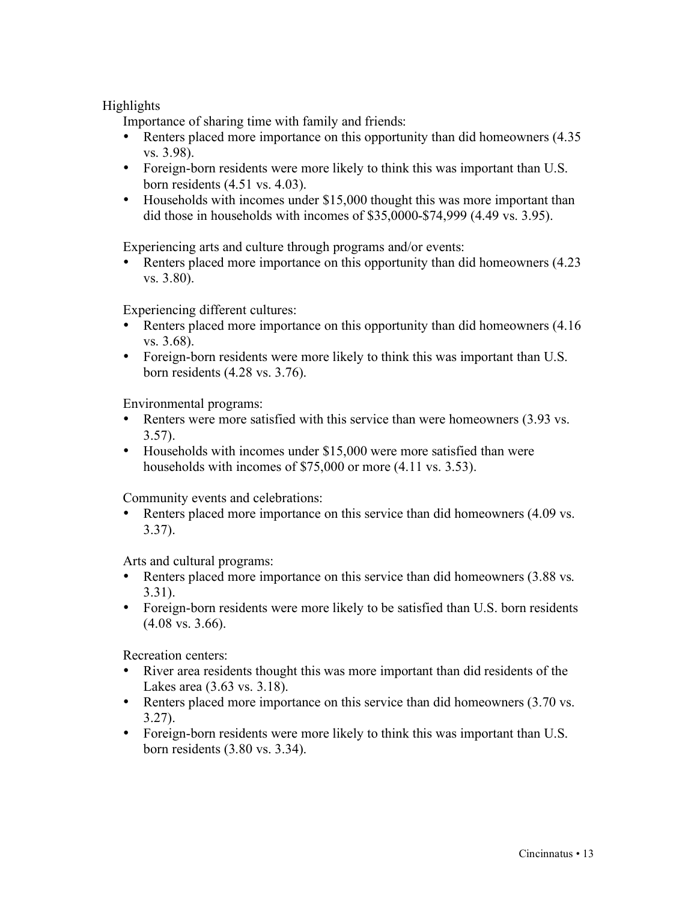### Highlights

Importance of sharing time with family and friends:

- Renters placed more importance on this opportunity than did homeowners  $(4.35)$ vs. 3.98).
- Foreign-born residents were more likely to think this was important than U.S. born residents (4.51 vs. 4.03).
- Households with incomes under \$15,000 thought this was more important than did those in households with incomes of \$35,0000-\$74,999 (4.49 vs. 3.95).

Experiencing arts and culture through programs and/or events:

Renters placed more importance on this opportunity than did homeowners  $(4.23)$ vs. 3.80).

Experiencing different cultures:

- Renters placed more importance on this opportunity than did homeowners (4.16) vs. 3.68).
- Foreign-born residents were more likely to think this was important than U.S. born residents (4.28 vs. 3.76).

Environmental programs:

- Renters were more satisfied with this service than were homeowners (3.93 vs.) 3.57).
- Households with incomes under \$15,000 were more satisfied than were households with incomes of \$75,000 or more  $(4.11 \text{ vs. } 3.53)$ .

Community events and celebrations:

• Renters placed more importance on this service than did homeowners (4.09 vs.) 3.37).

Arts and cultural programs:

- Renters placed more importance on this service than did homeowners (3.88 vs.) 3.31).
- Foreign-born residents were more likely to be satisfied than U.S. born residents (4.08 vs. 3.66).

Recreation centers:

- River area residents thought this was more important than did residents of the Lakes area (3.63 vs. 3.18).
- Renters placed more importance on this service than did homeowners (3.70 vs.) 3.27).
- Foreign-born residents were more likely to think this was important than U.S. born residents (3.80 vs. 3.34).